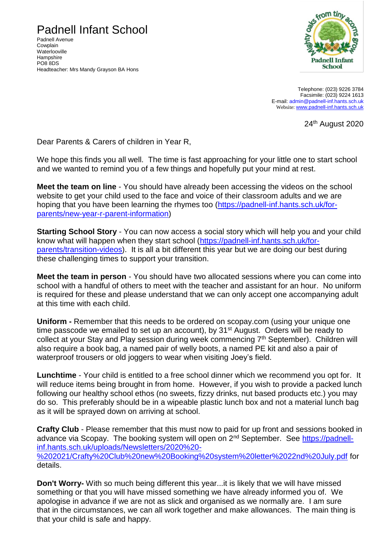## Padnell Infant School

Padnell Avenue Cowplain **Waterlooville Hampshire** PO8 8DS Headteacher: Mrs Mandy Grayson BA Hons



Telephone: (023) 9226 3784 Facsimile: (023) 9224 1613 E-mail: [admin@padnell-inf.hants.sch.uk](mailto:admin@padnell-inf.hants.sch.uk) Website: [www.padnell-inf.hants.sch.uk](http://www.padnell-inf.hants.sch.uk/)

24th August 2020

Dear Parents & Carers of children in Year R,

We hope this finds you all well. The time is fast approaching for your little one to start school and we wanted to remind you of a few things and hopefully put your mind at rest.

**Meet the team on line** - You should have already been accessing the videos on the school website to get your child used to the face and voice of their classroom adults and we are hoping that you have been learning the rhymes too [\(https://padnell-inf.hants.sch.uk/for](https://padnell-inf.hants.sch.uk/for-parents/new-year-r-parent-information)[parents/new-year-r-parent-information\)](https://padnell-inf.hants.sch.uk/for-parents/new-year-r-parent-information)

**Starting School Story** - You can now access a social story which will help you and your child know what will happen when they start school [\(https://padnell-inf.hants.sch.uk/for](https://padnell-inf.hants.sch.uk/for-parents/transition-videos)[parents/transition-videos\)](https://padnell-inf.hants.sch.uk/for-parents/transition-videos). It is all a bit different this year but we are doing our best during these challenging times to support your transition.

**Meet the team in person** - You should have two allocated sessions where you can come into school with a handful of others to meet with the teacher and assistant for an hour. No uniform is required for these and please understand that we can only accept one accompanying adult at this time with each child.

**Uniform -** Remember that this needs to be ordered on scopay.com (using your unique one time passcode we emailed to set up an account), by 31<sup>st</sup> August. Orders will be ready to collect at your Stay and Play session during week commencing 7th September). Children will also require a book bag, a named pair of welly boots, a named PE kit and also a pair of waterproof trousers or old joggers to wear when visiting Joey's field.

**Lunchtime** - Your child is entitled to a free school dinner which we recommend you opt for. It will reduce items being brought in from home. However, if you wish to provide a packed lunch following our healthy school ethos (no sweets, fizzy drinks, nut based products etc.) you may do so. This preferably should be in a wipeable plastic lunch box and not a material lunch bag as it will be sprayed down on arriving at school.

**Crafty Club** - Please remember that this must now to paid for up front and sessions booked in advance via Scopay. The booking system will open on 2<sup>nd</sup> September. See [https://padnell](https://padnell-inf.hants.sch.uk/uploads/Newsletters/2020%20-%202021/Crafty%20Club%20new%20Booking%20system%20letter%2022nd%20July.pdf)[inf.hants.sch.uk/uploads/Newsletters/2020%20-](https://padnell-inf.hants.sch.uk/uploads/Newsletters/2020%20-%202021/Crafty%20Club%20new%20Booking%20system%20letter%2022nd%20July.pdf) [%202021/Crafty%20Club%20new%20Booking%20system%20letter%2022nd%20July.pdf](https://padnell-inf.hants.sch.uk/uploads/Newsletters/2020%20-%202021/Crafty%20Club%20new%20Booking%20system%20letter%2022nd%20July.pdf) for details.

**Don't Worry-** With so much being different this year...it is likely that we will have missed something or that you will have missed something we have already informed you of. We apologise in advance if we are not as slick and organised as we normally are. I am sure that in the circumstances, we can all work together and make allowances. The main thing is that your child is safe and happy.